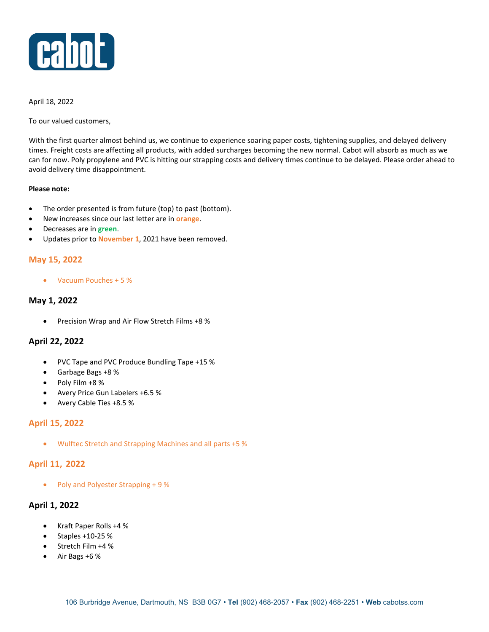

#### April 18, 2022

To our valued customers,

With the first quarter almost behind us, we continue to experience soaring paper costs, tightening supplies, and delayed delivery times. Freight costs are affecting all products, with added surcharges becoming the new normal. Cabot will absorb as much as we can for now. Poly propylene and PVC is hitting our strapping costs and delivery times continue to be delayed. Please order ahead to avoid delivery time disappointment.

#### **Please note:**

- The order presented is from future (top) to past (bottom).
- New increases since our last letter are in **orange**.
- Decreases are in **green**.
- Updates prior to **November 1**, 2021 have been removed.

### **May 15, 2022**

• Vacuum Pouches + 5 %

### **May 1, 2022**

• Precision Wrap and Air Flow Stretch Films +8 %

## **April 22, 2022**

- PVC Tape and PVC Produce Bundling Tape +15 %
- Garbage Bags +8 %
- Poly Film +8 %
- Avery Price Gun Labelers +6.5 %
- Avery Cable Ties +8.5 %

## **April 15, 2022**

• Wulftec Stretch and Strapping Machines and all parts +5 %

#### **April 11, 2022**

• Poly and Polyester Strapping + 9 %

## **April 1, 2022**

- Kraft Paper Rolls +4 %
- Staples +10-25 %
- Stretch Film +4 %
- Air Bags +6 %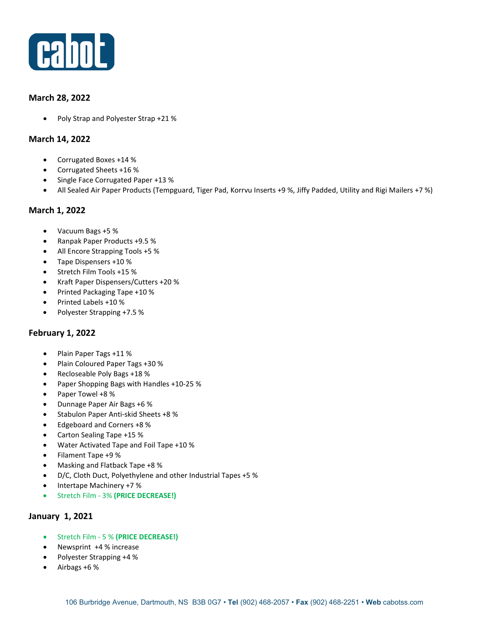

## **March 28, 2022**

• Poly Strap and Polyester Strap +21 %

# **March 14, 2022**

- Corrugated Boxes +14 %
- Corrugated Sheets +16 %
- Single Face Corrugated Paper +13 %
- All Sealed Air Paper Products (Tempguard, Tiger Pad, Korrvu Inserts +9 %, Jiffy Padded, Utility and Rigi Mailers +7 %)

# **March 1, 2022**

- Vacuum Bags +5 %
- Ranpak Paper Products +9.5 %
- All Encore Strapping Tools +5 %
- Tape Dispensers +10 %
- Stretch Film Tools +15 %
- Kraft Paper Dispensers/Cutters +20 %
- Printed Packaging Tape +10 %
- Printed Labels +10 %
- Polyester Strapping +7.5 %

## **February 1, 2022**

- Plain Paper Tags +11 %
- Plain Coloured Paper Tags +30 %
- Recloseable Poly Bags +18 %
- Paper Shopping Bags with Handles +10-25 %
- Paper Towel +8 %
- Dunnage Paper Air Bags +6 %
- Stabulon Paper Anti-skid Sheets +8 %
- Edgeboard and Corners +8 %
- Carton Sealing Tape +15 %
- Water Activated Tape and Foil Tape +10 %
- Filament Tape +9 %
- Masking and Flatback Tape +8 %
- D/C, Cloth Duct, Polyethylene and other Industrial Tapes +5 %
- Intertape Machinery +7 %
- Stretch Film 3% **(PRICE DECREASE!)**

## **January 1, 2021**

- Stretch Film 5 % **(PRICE DECREASE!)**
- Newsprint +4 % increase
- Polyester Strapping +4 %
- Airbags +6 %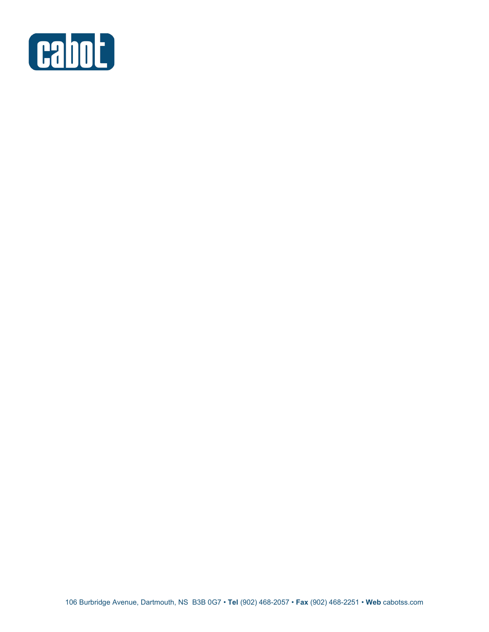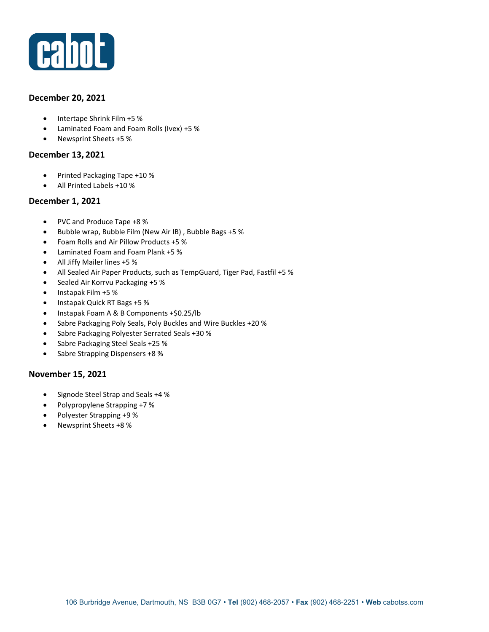

## **December 20, 2021**

- Intertape Shrink Film +5 %
- Laminated Foam and Foam Rolls (Ivex) +5 %
- Newsprint Sheets +5 %

## **December 13, 2021**

- Printed Packaging Tape +10 %
- All Printed Labels +10 %

## **December 1, 2021**

- PVC and Produce Tape +8 %
- Bubble wrap, Bubble Film (New Air IB) , Bubble Bags +5 %
- Foam Rolls and Air Pillow Products +5 %
- Laminated Foam and Foam Plank +5 %
- All Jiffy Mailer lines +5 %
- All Sealed Air Paper Products, such as TempGuard, Tiger Pad, Fastfil +5 %
- Sealed Air Korrvu Packaging +5 %
- Instapak Film +5 %
- Instapak Quick RT Bags +5 %
- Instapak Foam A & B Components +\$0.25/lb
- Sabre Packaging Poly Seals, Poly Buckles and Wire Buckles +20 %
- Sabre Packaging Polyester Serrated Seals +30 %
- Sabre Packaging Steel Seals +25 %
- Sabre Strapping Dispensers +8 %

## **November 15, 2021**

- Signode Steel Strap and Seals +4 %
- Polypropylene Strapping +7 %
- Polyester Strapping +9 %
- Newsprint Sheets +8 %